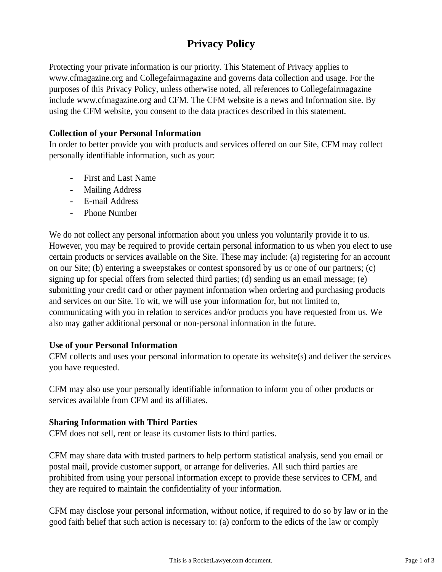# **Privacy Policy**

Protecting your private information is our priority. This Statement of Privacy applies to www.cfmagazine.org and Collegefairmagazine and governs data collection and usage. For the purposes of this Privacy Policy, unless otherwise noted, all references to Collegefairmagazine include www.cfmagazine.org and CFM. The CFM website is a news and Information site. By using the CFM website, you consent to the data practices described in this statement.

## **Collection of your Personal Information**

In order to better provide you with products and services offered on our Site, CFM may collect personally identifiable information, such as your:

- First and Last Name
- Mailing Address
- E-mail Address
- Phone Number

We do not collect any personal information about you unless you voluntarily provide it to us. However, you may be required to provide certain personal information to us when you elect to use certain products or services available on the Site. These may include: (a) registering for an account on our Site; (b) entering a sweepstakes or contest sponsored by us or one of our partners; (c) signing up for special offers from selected third parties; (d) sending us an email message; (e) submitting your credit card or other payment information when ordering and purchasing products and services on our Site. To wit, we will use your information for, but not limited to, communicating with you in relation to services and/or products you have requested from us. We also may gather additional personal or non-personal information in the future.

#### **Use of your Personal Information**

CFM collects and uses your personal information to operate its website(s) and deliver the services you have requested.

CFM may also use your personally identifiable information to inform you of other products or services available from CFM and its affiliates.

#### **Sharing Information with Third Parties**

CFM does not sell, rent or lease its customer lists to third parties.

CFM may share data with trusted partners to help perform statistical analysis, send you email or postal mail, provide customer support, or arrange for deliveries. All such third parties are prohibited from using your personal information except to provide these services to CFM, and they are required to maintain the confidentiality of your information.

CFM may disclose your personal information, without notice, if required to do so by law or in the good faith belief that such action is necessary to: (a) conform to the edicts of the law or comply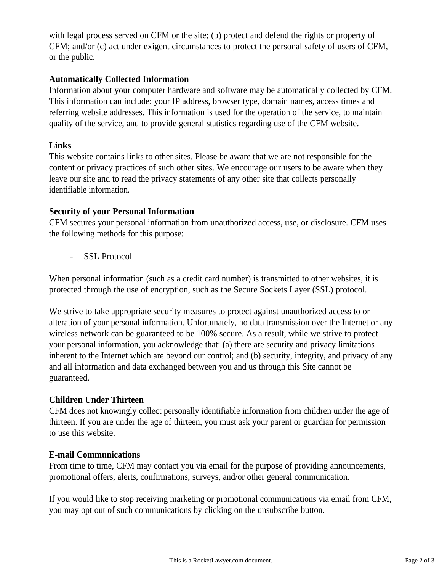with legal process served on CFM or the site; (b) protect and defend the rights or property of CFM; and/or (c) act under exigent circumstances to protect the personal safety of users of CFM, or the public.

## **Automatically Collected Information**

Information about your computer hardware and software may be automatically collected by CFM. This information can include: your IP address, browser type, domain names, access times and referring website addresses. This information is used for the operation of the service, to maintain quality of the service, and to provide general statistics regarding use of the CFM website.

# **Links**

This website contains links to other sites. Please be aware that we are not responsible for the content or privacy practices of such other sites. We encourage our users to be aware when they leave our site and to read the privacy statements of any other site that collects personally identifiable information.

# **Security of your Personal Information**

CFM secures your personal information from unauthorized access, use, or disclosure. CFM uses the following methods for this purpose:

- SSL Protocol

When personal information (such as a credit card number) is transmitted to other websites, it is protected through the use of encryption, such as the Secure Sockets Layer (SSL) protocol.

We strive to take appropriate security measures to protect against unauthorized access to or alteration of your personal information. Unfortunately, no data transmission over the Internet or any wireless network can be guaranteed to be 100% secure. As a result, while we strive to protect your personal information, you acknowledge that: (a) there are security and privacy limitations inherent to the Internet which are beyond our control; and (b) security, integrity, and privacy of any and all information and data exchanged between you and us through this Site cannot be guaranteed.

# **Children Under Thirteen**

CFM does not knowingly collect personally identifiable information from children under the age of thirteen. If you are under the age of thirteen, you must ask your parent or guardian for permission to use this website.

## **E-mail Communications**

From time to time, CFM may contact you via email for the purpose of providing announcements, promotional offers, alerts, confirmations, surveys, and/or other general communication.

If you would like to stop receiving marketing or promotional communications via email from CFM, you may opt out of such communications by clicking on the unsubscribe button.